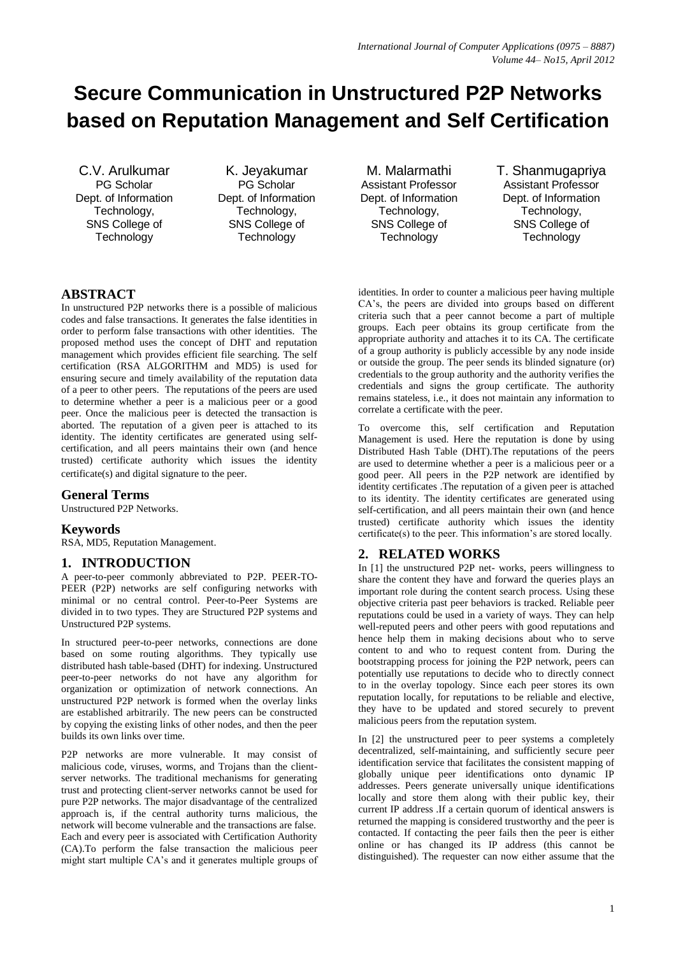# **Secure Communication in Unstructured P2P Networks based on Reputation Management and Self Certification**

C.V. Arulkumar PG Scholar Dept. of Information Technology, SNS College of **Technology** 

K. Jeyakumar PG Scholar Dept. of Information Technology, SNS College of **Technology** 

M. Malarmathi Assistant Professor Dept. of Information Technology, SNS College of **Technology** 

T. Shanmugapriya Assistant Professor Dept. of Information Technology, SNS College of **Technology** 

## **ABSTRACT**

In unstructured P2P networks there is a possible of malicious codes and false transactions. It generates the false identities in order to perform false transactions with other identities. The proposed method uses the concept of DHT and reputation management which provides efficient file searching. The self certification (RSA ALGORITHM and MD5) is used for ensuring secure and timely availability of the reputation data of a peer to other peers. The reputations of the peers are used to determine whether a peer is a malicious peer or a good peer. Once the malicious peer is detected the transaction is aborted. The reputation of a given peer is attached to its identity. The identity certificates are generated using selfcertification, and all peers maintains their own (and hence trusted) certificate authority which issues the identity certificate(s) and digital signature to the peer*.*

## **General Terms**

Unstructured P2P Networks.

## **Keywords**

RSA, MD5, Reputation Management.

## **1. INTRODUCTION**

A peer-to-peer commonly abbreviated to P2P. PEER-TO-PEER (P2P) networks are self configuring networks with minimal or no central control. Peer-to-Peer Systems are divided in to two types. They are Structured P2P systems and Unstructured P2P systems.

In structured peer-to-peer networks, connections are done based on some routing algorithms. They typically use distributed hash table-based (DHT) for indexing. Unstructured peer-to-peer networks do not have any algorithm for organization or optimization of network connections. An unstructured P2P network is formed when the overlay links are established arbitrarily. The new peers can be constructed by copying the existing links of other nodes, and then the peer builds its own links over time.

P2P networks are more vulnerable. It may consist of malicious code, viruses, worms, and Trojans than the clientserver networks. The traditional mechanisms for generating trust and protecting client-server networks cannot be used for pure P2P networks. The major disadvantage of the centralized approach is, if the central authority turns malicious, the network will become vulnerable and the transactions are false. Each and every peer is associated with Certification Authority (CA).To perform the false transaction the malicious peer might start multiple CA's and it generates multiple groups of identities. In order to counter a malicious peer having multiple CA's, the peers are divided into groups based on different criteria such that a peer cannot become a part of multiple groups. Each peer obtains its group certificate from the appropriate authority and attaches it to its CA. The certificate of a group authority is publicly accessible by any node inside or outside the group. The peer sends its blinded signature (or) credentials to the group authority and the authority verifies the credentials and signs the group certificate. The authority remains stateless, i.e., it does not maintain any information to correlate a certificate with the peer.

To overcome this, self certification and Reputation Management is used. Here the reputation is done by using Distributed Hash Table (DHT).The reputations of the peers are used to determine whether a peer is a malicious peer or a good peer. All peers in the P2P network are identified by identity certificates .The reputation of a given peer is attached to its identity. The identity certificates are generated using self-certification, and all peers maintain their own (and hence trusted) certificate authority which issues the identity certificate(s) to the peer. This information's are stored locally.

## **2. RELATED WORKS**

In [1] the unstructured P2P net- works, peers willingness to share the content they have and forward the queries plays an important role during the content search process. Using these objective criteria past peer behaviors is tracked. Reliable peer reputations could be used in a variety of ways. They can help well-reputed peers and other peers with good reputations and hence help them in making decisions about who to serve content to and who to request content from. During the bootstrapping process for joining the P2P network, peers can potentially use reputations to decide who to directly connect to in the overlay topology. Since each peer stores its own reputation locally, for reputations to be reliable and elective, they have to be updated and stored securely to prevent malicious peers from the reputation system.

In [2] the unstructured peer to peer systems a completely decentralized, self-maintaining, and sufficiently secure peer identification service that facilitates the consistent mapping of globally unique peer identifications onto dynamic IP addresses. Peers generate universally unique identifications locally and store them along with their public key, their current IP address .If a certain quorum of identical answers is returned the mapping is considered trustworthy and the peer is contacted. If contacting the peer fails then the peer is either online or has changed its IP address (this cannot be distinguished). The requester can now either assume that the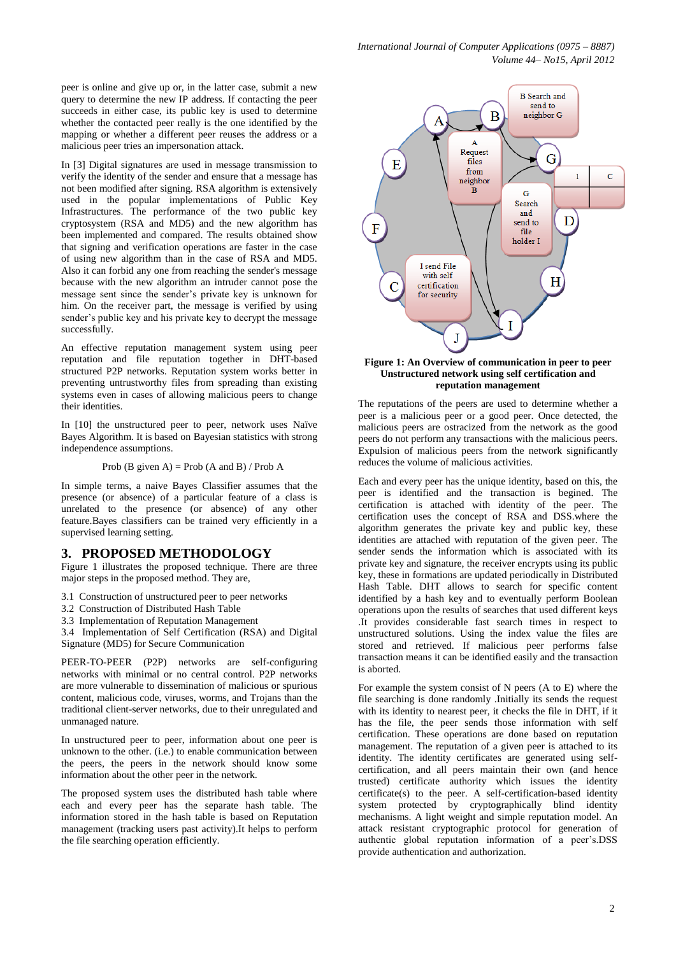peer is online and give up or, in the latter case, submit a new query to determine the new IP address. If contacting the peer succeeds in either case, its public key is used to determine whether the contacted peer really is the one identified by the mapping or whether a different peer reuses the address or a malicious peer tries an impersonation attack.

In [3] Digital signatures are used in message transmission to verify the identity of the sender and ensure that a message has not been modified after signing. RSA algorithm is extensively used in the popular implementations of Public Key Infrastructures. The performance of the two public key cryptosystem (RSA and MD5) and the new algorithm has been implemented and compared. The results obtained show that signing and verification operations are faster in the case of using new algorithm than in the case of RSA and MD5. Also it can forbid any one from reaching the sender's message because with the new algorithm an intruder cannot pose the message sent since the sender's private key is unknown for him. On the receiver part, the message is verified by using sender's public key and his private key to decrypt the message successfully.

An effective reputation management system using peer reputation and file reputation together in DHT-based structured P2P networks. Reputation system works better in preventing untrustworthy files from spreading than existing systems even in cases of allowing malicious peers to change their identities.

In [10] the unstructured peer to peer, network uses Naïve Bayes Algorithm. It is based on Bayesian statistics with strong independence assumptions.

### Prob (B given A) = Prob (A and B) / Prob A

In simple terms, a naive Bayes Classifier assumes that the presence (or absence) of a particular feature of a class is unrelated to the presence (or absence) of any other feature.Bayes classifiers can be trained very efficiently in a supervised learning setting.

## **3. PROPOSED METHODOLOGY**

Figure 1 illustrates the proposed technique. There are three major steps in the proposed method. They are,

- 3.1 Construction of unstructured peer to peer networks
- 3.2 Construction of Distributed Hash Table
- 3.3 Implementation of Reputation Management

3.4 Implementation of Self Certification (RSA) and Digital Signature (MD5) for Secure Communication

PEER-TO-PEER (P2P) networks are self-configuring networks with minimal or no central control. P2P networks are more vulnerable to dissemination of malicious or spurious content, malicious code, viruses, worms, and Trojans than the traditional client-server networks, due to their unregulated and unmanaged nature.

In unstructured peer to peer, information about one peer is unknown to the other. (i.e.) to enable communication between the peers, the peers in the network should know some information about the other peer in the network.

The proposed system uses the distributed hash table where each and every peer has the separate hash table. The information stored in the hash table is based on Reputation management (tracking users past activity).It helps to perform the file searching operation efficiently.



#### **Figure 1: An Overview of communication in peer to peer Unstructured network using self certification and reputation management**

The reputations of the peers are used to determine whether a peer is a malicious peer or a good peer. Once detected, the malicious peers are ostracized from the network as the good peers do not perform any transactions with the malicious peers. Expulsion of malicious peers from the network significantly reduces the volume of malicious activities.

Each and every peer has the unique identity, based on this, the peer is identified and the transaction is begined. The certification is attached with identity of the peer. The certification uses the concept of RSA and DSS.where the algorithm generates the private key and public key, these identities are attached with reputation of the given peer. The sender sends the information which is associated with its private key and signature, the receiver encrypts using its public key, these in formations are updated periodically in Distributed Hash Table. DHT allows to search for specific content identified by a hash key and to eventually perform Boolean operations upon the results of searches that used different keys .It provides considerable fast search times in respect to unstructured solutions. Using the index value the files are stored and retrieved. If malicious peer performs false transaction means it can be identified easily and the transaction is aborted.

For example the system consist of N peers (A to E) where the file searching is done randomly .Initially its sends the request with its identity to nearest peer, it checks the file in DHT, if it has the file, the peer sends those information with self certification. These operations are done based on reputation management. The reputation of a given peer is attached to its identity. The identity certificates are generated using selfcertification, and all peers maintain their own (and hence trusted) certificate authority which issues the identity certificate(s) to the peer. A self-certification-based identity system protected by cryptographically blind identity mechanisms. A light weight and simple reputation model. An attack resistant cryptographic protocol for generation of authentic global reputation information of a peer's.DSS provide authentication and authorization.